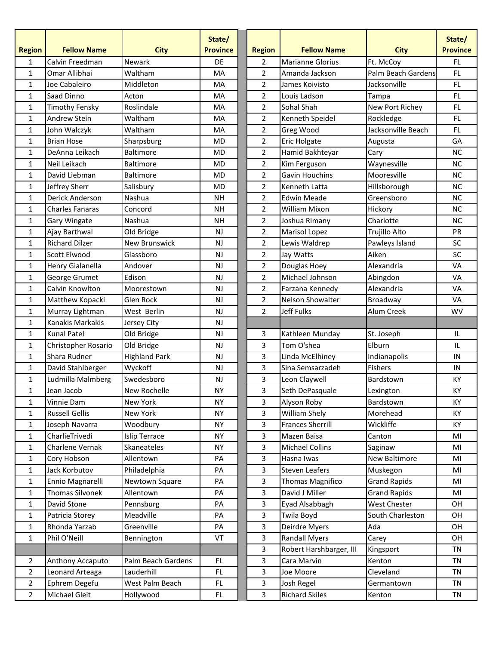| <b>Region</b>  | <b>Fellow Name</b>     | <b>City</b>          | State/<br><b>Province</b> | <b>Region</b>  | <b>Fellow Name</b>      | <b>City</b>         | State/<br><b>Province</b> |
|----------------|------------------------|----------------------|---------------------------|----------------|-------------------------|---------------------|---------------------------|
| 1              | Calvin Freedman        | <b>Newark</b>        | DE                        | $\overline{2}$ | Marianne Glorius        | Ft. McCoy           | FL                        |
| 1              | Omar Allibhai          | Waltham              | MA                        | $\overline{2}$ | Amanda Jackson          | Palm Beach Gardens  | FL.                       |
| 1              | Joe Cabaleiro          | Middleton            | <b>MA</b>                 | $\overline{2}$ | James Koivisto          | Jacksonville        | FL.                       |
| 1              | Saad Dinno             | Acton                | MA                        | $\overline{2}$ | Louis Ladson            | Tampa               | FL                        |
| 1              | Timothy Fensky         | Roslindale           | MA                        | $\overline{2}$ | Sohal Shah              | New Port Richey     | FL                        |
| 1              | Andrew Stein           | Waltham              | MA                        | $\overline{2}$ | Kenneth Speidel         | Rockledge           | FL                        |
| 1              | John Walczyk           | Waltham              | MA                        | $\overline{2}$ | Greg Wood               | Jacksonville Beach  | FL                        |
| $\mathbf{1}$   | <b>Brian Hose</b>      | Sharpsburg           | <b>MD</b>                 | $\overline{2}$ | <b>Eric Holgate</b>     | Augusta             | GA                        |
| 1              | DeAnna Leikach         | <b>Baltimore</b>     | <b>MD</b>                 | $\overline{2}$ | Hamid Bakhteyar         | Cary                | NC                        |
| 1              | Neil Leikach           | <b>Baltimore</b>     | <b>MD</b>                 | $\overline{2}$ | Kim Ferguson            | Waynesville         | NC                        |
| 1              | David Liebman          | <b>Baltimore</b>     | <b>MD</b>                 | $\overline{2}$ | Gavin Houchins          | Mooresville         | NC                        |
| 1              | Jeffrey Sherr          | Salisbury            | <b>MD</b>                 | $\overline{2}$ | Kenneth Latta           | Hillsborough        | NC                        |
| 1              | Derick Anderson        | Nashua               | <b>NH</b>                 | $\overline{2}$ | <b>Edwin Meade</b>      | Greensboro          | NC                        |
| 1              | <b>Charles Fanaras</b> | Concord              | <b>NH</b>                 | $\overline{2}$ | <b>William Mixon</b>    | Hickory             | <b>NC</b>                 |
| 1              | Gary Wingate           | Nashua               | <b>NH</b>                 | $\overline{2}$ | Joshua Rimany           | Charlotte           | <b>NC</b>                 |
| 1              | Ajay Barthwal          | Old Bridge           | <b>NJ</b>                 | $\overline{2}$ | Marisol Lopez           | Trujillo Alto       | PR                        |
| 1              | <b>Richard Dilzer</b>  | New Brunswick        | <b>NJ</b>                 | $\overline{2}$ | Lewis Waldrep           | Pawleys Island      | SC                        |
| $\mathbf{1}$   | Scott Elwood           | Glassboro            | NJ                        | $\overline{2}$ | Jay Watts               | Aiken               | SC                        |
| 1              | Henry Gialanella       | Andover              | <b>NJ</b>                 | $\overline{2}$ | Douglas Hoey            | Alexandria          | VA                        |
| 1              | George Grumet          | Edison               | NJ                        | $\overline{2}$ | Michael Johnson         | Abingdon            | <b>VA</b>                 |
| 1              | Calvin Knowlton        | Moorestown           | NJ                        | $\overline{2}$ | Farzana Kennedy         | Alexandria          | VA                        |
| 1              | Matthew Kopacki        | Glen Rock            | <b>NJ</b>                 | $\overline{2}$ | Nelson Showalter        | Broadway            | VA                        |
| 1              | Murray Lightman        | West Berlin          | <b>NJ</b>                 | $\overline{2}$ | <b>Jeff Fulks</b>       | Alum Creek          | <b>WV</b>                 |
| $\mathbf{1}$   | Kanakis Markakis       | Jersey City          | NJ                        |                |                         |                     |                           |
| 1              | <b>Kunal Patel</b>     | Old Bridge           | <b>NJ</b>                 | 3              | Kathleen Munday         | St. Joseph          | IL                        |
| 1              | Christopher Rosario    | Old Bridge           | NJ                        | 3              | Tom O'shea              | Elburn              | $\sf IL$                  |
| 1              | Shara Rudner           | <b>Highland Park</b> | <b>NJ</b>                 | 3              | Linda McElhiney         | Indianapolis        | ${\sf IN}$                |
| 1              | David Stahlberger      | Wyckoff              | <b>NJ</b>                 | 3              | Sina Semsarzadeh        | Fishers             | IN                        |
| $\mathbf{1}$   | Ludmilla Malmberg      | Swedesboro           | NJ                        | 3              | Leon Claywell           | Bardstown           | KY                        |
| $\mathbf{1}$   | Jean Jacob             | New Rochelle         | <b>NY</b>                 | 3              | Seth DePasquale         | Lexington           | KY                        |
| 1              | Vinnie Dam             | New York             | <b>NY</b>                 | 3              | Alyson Roby             | Bardstown           | КY                        |
| 1              | <b>Russell Gellis</b>  | New York             | <b>NY</b>                 | 3              | William Shely           | Morehead            | KY                        |
| 1              | Joseph Navarra         | Woodbury             | <b>NY</b>                 | 3              | <b>Frances Sherrill</b> | Wickliffe           | KY                        |
| 1              | CharlieTrivedi         | <b>Islip Terrace</b> | NY                        | 3              | Mazen Baisa             | Canton              | MI                        |
| 1              | Charlene Vernak        | Skaneateles          | <b>NY</b>                 | 3              | <b>Michael Collins</b>  | Saginaw             | MI                        |
| $\mathbf{1}$   | Cory Hobson            | Allentown            | PA                        | 3              | Hasna Iwas              | New Baltimore       | MI                        |
| 1              | Jack Korbutov          | Philadelphia         | PA                        | 3              | <b>Steven Leafers</b>   | Muskegon            | MI                        |
| $\mathbf{1}$   | Ennio Magnarelli       | Newtown Square       | PA                        | 3              | Thomas Magnifico        | <b>Grand Rapids</b> | MI                        |
| 1              | <b>Thomas Silvonek</b> | Allentown            | PA                        | 3              | David J Miller          | <b>Grand Rapids</b> | MI                        |
| 1              | David Stone            | Pennsburg            | PA                        | 3              | Eyad Alsabbagh          | West Chester        | OН                        |
| 1              | Patricia Storey        | Meadville            | PA                        | 3              | Twila Boyd              | South Charleston    | OH                        |
| 1              | Rhonda Yarzab          | Greenville           | PA                        | 3              | Deirdre Myers           | Ada                 | OH                        |
| $\mathbf{1}$   | Phil O'Neill           | Bennington           | VT                        | 3              | <b>Randall Myers</b>    | Carey               | OН                        |
|                |                        |                      |                           | 3              | Robert Harshbarger, III | Kingsport           | <b>TN</b>                 |
| 2              | Anthony Accaputo       | Palm Beach Gardens   | FL.                       | 3              | Cara Marvin             | Kenton              | <b>TN</b>                 |
| $\overline{2}$ | Leonard Arteaga        | Lauderhill           | FL.                       | 3              | Joe Moore               | Cleveland           | TN                        |
| $\overline{2}$ | Ephrem Degefu          | West Palm Beach      | FL.                       | 3              | Josh Regel              | Germantown          | TN                        |
| $\overline{2}$ | Michael Gleit          | Hollywood            | FL.                       | 3              | <b>Richard Skiles</b>   | Kenton              | TN                        |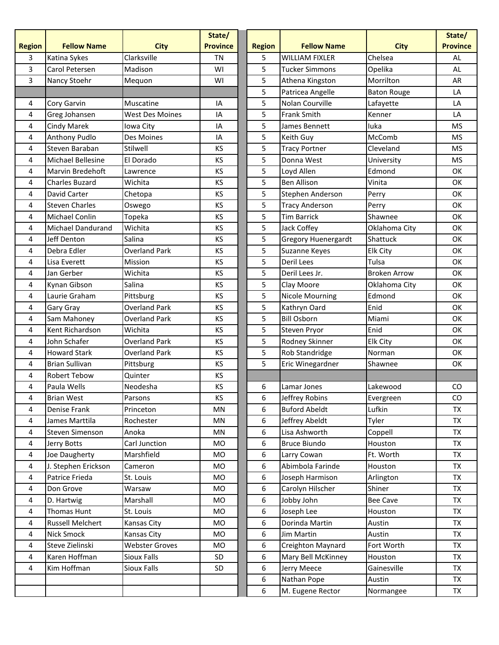|                |                          |                        | State/          |               |                            |                     | State/          |
|----------------|--------------------------|------------------------|-----------------|---------------|----------------------------|---------------------|-----------------|
| <b>Region</b>  | <b>Fellow Name</b>       | <b>City</b>            | <b>Province</b> | <b>Region</b> | <b>Fellow Name</b>         | <b>City</b>         | <b>Province</b> |
| 3              | Katina Sykes             | Clarksville            | TN              | 5             | <b>WILLIAM FIXLER</b>      | Chelsea             | AL              |
| 3              | Carol Petersen           | Madison                | WI              | 5             | <b>Tucker Simmons</b>      | Opelika             | AL              |
| 3              | Nancy Stoehr             | Mequon                 | WI              | 5             | Athena Kingston            | Morrilton           | AR              |
|                |                          |                        |                 | 5             | Patricea Angelle           | <b>Baton Rouge</b>  | LA              |
| 4              | Cory Garvin              | Muscatine              | IA              | 5             | Nolan Courville            | Lafayette           | LA              |
| 4              | Greg Johansen            | <b>West Des Moines</b> | IA              | 5             | <b>Frank Smith</b>         | Kenner              | LA              |
| 4              | <b>Cindy Marek</b>       | Iowa City              | IA              | 5             | James Bennett              | luka                | <b>MS</b>       |
| 4              | <b>Anthony Pudlo</b>     | Des Moines             | IA              | 5             | Keith Guy                  | McComb              | <b>MS</b>       |
| 4              | Steven Baraban           | Stilwell               | <b>KS</b>       | 5             | <b>Tracy Portner</b>       | Cleveland           | <b>MS</b>       |
| 4              | Michael Bellesine        | El Dorado              | KS              | 5             | Donna West                 | University          | <b>MS</b>       |
| 4              | Marvin Bredehoft         | Lawrence               | KS              | 5             | Loyd Allen                 | Edmond              | OK              |
| 4              | <b>Charles Buzard</b>    | Wichita                | <b>KS</b>       | 5             | <b>Ben Allison</b>         | Vinita              | <b>OK</b>       |
| 4              | David Carter             | Chetopa                | KS              | 5             | Stephen Anderson           | Perry               | <b>OK</b>       |
| 4              | <b>Steven Charles</b>    | Oswego                 | KS              | 5             | <b>Tracy Anderson</b>      | Perry               | OK              |
| 4              | <b>Michael Conlin</b>    | Topeka                 | KS              | 5             | <b>Tim Barrick</b>         | Shawnee             | OK              |
| 4              | <b>Michael Dandurand</b> | Wichita                | KS              | 5             | Jack Coffey                | Oklahoma City       | <b>OK</b>       |
| 4              | Jeff Denton              | Salina                 | <b>KS</b>       | 5             | <b>Gregory Huenergardt</b> | Shattuck            | OK              |
| 4              | Debra Edler              | <b>Overland Park</b>   | KS              | 5             | Suzanne Keyes              | <b>Elk City</b>     | <b>OK</b>       |
| 4              | Lisa Everett             | Mission                | KS              | 5             | Deril Lees                 | Tulsa               | ОΚ              |
| 4              | Jan Gerber               | Wichita                | <b>KS</b>       | 5             | Deril Lees Jr.             | <b>Broken Arrow</b> | OK              |
| 4              | Kynan Gibson             | Salina                 | KS              | 5             | Clay Moore                 | Oklahoma City       | <b>OK</b>       |
| 4              | Laurie Graham            | Pittsburg              | KS              | 5             | <b>Nicole Mourning</b>     | Edmond              | OK              |
| 4              | Gary Gray                | <b>Overland Park</b>   | <b>KS</b>       | 5             | Kathryn Oard               | Enid                | <b>OK</b>       |
| 4              | Sam Mahoney              | <b>Overland Park</b>   | <b>KS</b>       | 5             | <b>Bill Osborn</b>         | Miami               | <b>OK</b>       |
| 4              | Kent Richardson          | Wichita                | KS              | 5             | Steven Pryor               | Enid                | OK              |
| 4              | John Schafer             | <b>Overland Park</b>   | <b>KS</b>       | 5             | Rodney Skinner             | <b>Elk City</b>     | <b>OK</b>       |
| 4              | <b>Howard Stark</b>      | <b>Overland Park</b>   | KS              | 5             | Rob Standridge             | Norman              | <b>OK</b>       |
| 4              | <b>Brian Sullivan</b>    | Pittsburg              | KS              | 5             | Eric Winegardner           | Shawnee             | OK              |
| 4              | <b>Robert Tebow</b>      | Quinter                | KS              |               |                            |                     |                 |
| 4              | Paula Wells              | Neodesha               | KS              | 6             | Lamar Jones                | Lakewood            | CO.             |
| 4              | <b>Brian West</b>        | Parsons                | KS              | 6             | Jeffrey Robins             | Evergreen           | CO              |
| 4              | Denise Frank             | Princeton              | MN              | 6             | <b>Buford Abeldt</b>       | Lufkin              | <b>TX</b>       |
| $\overline{4}$ | James Marttila           | Rochester              | MN              | 6             | Jeffrey Abeldt             | Tyler               | <b>TX</b>       |
| $\overline{4}$ | <b>Steven Simenson</b>   | Anoka                  | MN              | 6             | Lisa Ashworth              | Coppell             | <b>TX</b>       |
| $\overline{4}$ | Jerry Botts              | Carl Junction          | MO              | 6             | <b>Bruce Biundo</b>        | Houston             | TX              |
| 4              | Joe Daugherty            | Marshfield             | MO              | 6             | Larry Cowan                | Ft. Worth           | <b>TX</b>       |
| $\overline{4}$ | J. Stephen Erickson      | Cameron                | MO              | 6             | Abimbola Farinde           | Houston             | <b>TX</b>       |
| 4              | Patrice Frieda           | St. Louis              | MO              | 6             | Joseph Harmison            | Arlington           | <b>TX</b>       |
| 4              | Don Grove                | Warsaw                 | MO              | 6             | Carolyn Hilscher           | Shiner              | <b>TX</b>       |
| $\overline{4}$ | D. Hartwig               | Marshall               | MO              | 6             | Jobby John                 | <b>Bee Cave</b>     | <b>TX</b>       |
| 4              | Thomas Hunt              | St. Louis              | MO              | 6             | Joseph Lee                 | Houston             | <b>TX</b>       |
| 4              | <b>Russell Melchert</b>  | Kansas City            | MO              | 6             | Dorinda Martin             | Austin              | <b>TX</b>       |
| $\overline{4}$ | <b>Nick Smock</b>        | Kansas City            | MO              | 6             | Jim Martin                 | Austin              | <b>TX</b>       |
| 4              | Steve Zielinski          | <b>Webster Groves</b>  | MO              | 6             | Creighton Maynard          | Fort Worth          | <b>TX</b>       |
| $\overline{4}$ | Karen Hoffman            | Sioux Falls            | SD              | 6             | Mary Bell McKinney         | Houston             | <b>TX</b>       |
| $\overline{4}$ | Kim Hoffman              | Sioux Falls            | SD              | 6             | Jerry Meece                | Gainesville         | <b>TX</b>       |
|                |                          |                        |                 | 6             | Nathan Pope                | Austin              | TX              |
|                |                          |                        |                 | 6             | M. Eugene Rector           | Normangee           | <b>TX</b>       |